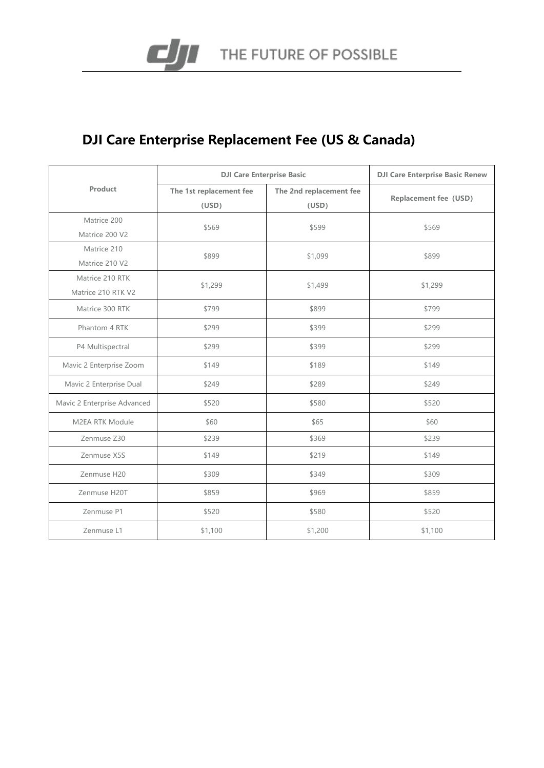# **DJI Care Enterprise Replacement Fee (US & Canada)**

|                                       | <b>DJI Care Enterprise Basic</b> |                                  | <b>DJI Care Enterprise Basic Renew</b> |
|---------------------------------------|----------------------------------|----------------------------------|----------------------------------------|
| Product                               | The 1st replacement fee<br>(USD) | The 2nd replacement fee<br>(USD) | <b>Replacement fee (USD)</b>           |
| Matrice 200<br>Matrice 200 V2         | \$569                            | \$599                            | \$569                                  |
| Matrice 210<br>Matrice 210 V2         | \$899                            | \$1,099                          | \$899                                  |
| Matrice 210 RTK<br>Matrice 210 RTK V2 | \$1,299                          | \$1,499                          | \$1,299                                |
| Matrice 300 RTK                       | \$799                            | \$899                            | \$799                                  |
| Phantom 4 RTK                         | \$299                            | \$399                            | \$299                                  |
| P4 Multispectral                      | \$299                            | \$399                            | \$299                                  |
| Mavic 2 Enterprise Zoom               | \$149                            | \$189                            | \$149                                  |
| Mavic 2 Enterprise Dual               | \$249                            | \$289                            | \$249                                  |
| Mavic 2 Enterprise Advanced           | \$520                            | \$580                            | \$520                                  |
| M2EA RTK Module                       | \$60                             | \$65                             | \$60                                   |
| Zenmuse Z30                           | \$239                            | \$369                            | \$239                                  |
| Zenmuse X5S                           | \$149                            | \$219                            | \$149                                  |
| Zenmuse H20                           | \$309                            | \$349                            | \$309                                  |
| Zenmuse H20T                          | \$859                            | \$969                            | \$859                                  |
| Zenmuse P1                            | \$520                            | \$580                            | \$520                                  |
| Zenmuse L1                            | \$1,100                          | \$1,200                          | \$1,100                                |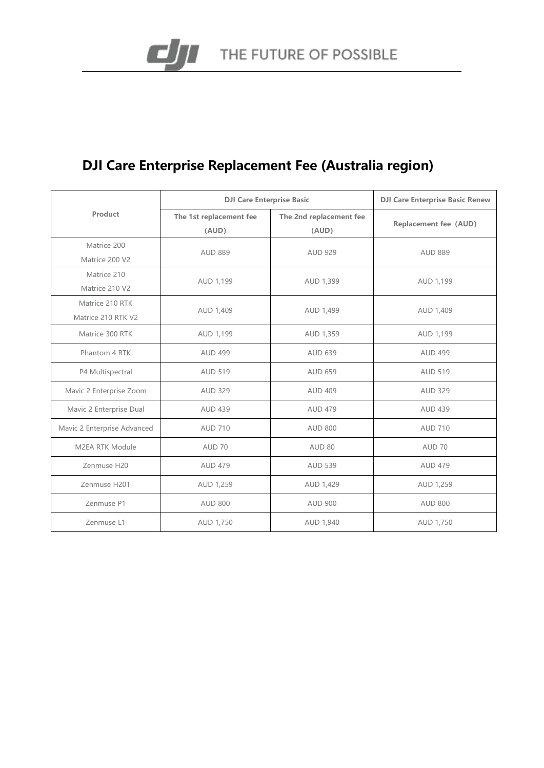## **DJI Care Enterprise Replacement Fee (Australia region)**

|                                       | <b>DJI Care Enterprise Basic</b> |                                  | <b>DJI Care Enterprise Basic Renew</b> |
|---------------------------------------|----------------------------------|----------------------------------|----------------------------------------|
| Product                               | The 1st replacement fee<br>(AUD) | The 2nd replacement fee<br>(AUD) | <b>Replacement fee (AUD)</b>           |
| Matrice 200<br>Matrice 200 V2         | <b>AUD 889</b>                   | <b>AUD 929</b>                   | <b>AUD 889</b>                         |
| Matrice 210<br>Matrice 210 V2         | AUD 1,199                        | AUD 1,399                        | AUD 1,199                              |
| Matrice 210 RTK<br>Matrice 210 RTK V2 | AUD 1,409                        | AUD 1,499                        | AUD 1,409                              |
| Matrice 300 RTK                       | AUD 1,199                        | AUD 1,359                        | AUD 1,199                              |
| Phantom 4 RTK                         | <b>AUD 499</b>                   | <b>AUD 639</b>                   | <b>AUD 499</b>                         |
| P4 Multispectral                      | <b>AUD 519</b>                   | <b>AUD 659</b>                   | <b>AUD 519</b>                         |
| Mavic 2 Enterprise Zoom               | <b>AUD 329</b>                   | <b>AUD 409</b>                   | <b>AUD 329</b>                         |
| Mavic 2 Enterprise Dual               | <b>AUD 439</b>                   | <b>AUD 479</b>                   | <b>AUD 439</b>                         |
| Mavic 2 Enterprise Advanced           | <b>AUD 710</b>                   | <b>AUD 800</b>                   | <b>AUD 710</b>                         |
| M2EA RTK Module                       | AUD 70                           | <b>AUD 80</b>                    | AUD 70                                 |
| Zenmuse H20                           | <b>AUD 479</b>                   | <b>AUD 539</b>                   | <b>AUD 479</b>                         |
| Zenmuse H20T                          | AUD 1,259                        | AUD 1,429                        | AUD 1,259                              |
| Zenmuse P1                            | <b>AUD 800</b>                   | <b>AUD 900</b>                   | <b>AUD 800</b>                         |
| Zenmuse L1                            | AUD 1,750                        | AUD 1,940                        | AUD 1,750                              |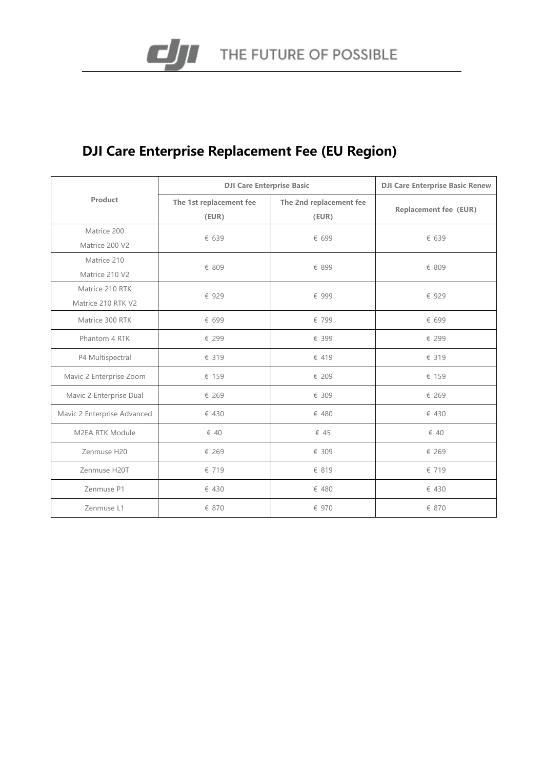# **DJI Care Enterprise Replacement Fee (EU Region)**

|                                       | <b>DJI Care Enterprise Basic</b> |                                  | <b>DJI Care Enterprise Basic Renew</b> |
|---------------------------------------|----------------------------------|----------------------------------|----------------------------------------|
| Product                               | The 1st replacement fee<br>(EUR) | The 2nd replacement fee<br>(EUR) | Replacement fee (EUR)                  |
| Matrice 200<br>Matrice 200 V2         | € 639                            | € 699                            | € 639                                  |
| Matrice 210<br>Matrice 210 V2         | € 809                            | € 899                            | € 809                                  |
| Matrice 210 RTK<br>Matrice 210 RTK V2 | € 929                            | € 999                            | € 929                                  |
| Matrice 300 RTK                       | € 699                            | € 799                            | € 699                                  |
| Phantom 4 RTK                         | € 299                            | € 399                            | € 299                                  |
| P4 Multispectral                      | € 319                            | € 419                            | € 319                                  |
| Mavic 2 Enterprise Zoom               | € 159                            | € 209                            | € 159                                  |
| Mavic 2 Enterprise Dual               | € 269                            | € 309                            | € 269                                  |
| Mavic 2 Enterprise Advanced           | € 430                            | € 480                            | € 430                                  |
| M2EA RTK Module                       | $\epsilon$ 40                    | € 45                             | $\epsilon$ 40                          |
| Zenmuse H20                           | € 269                            | € 309                            | € 269                                  |
| Zenmuse H20T                          | € 719                            | € 819                            | € 719                                  |
| Zenmuse P1                            | € 430                            | € 480                            | € 430                                  |
| Zenmuse L1                            | € 870                            | € 970                            | € 870                                  |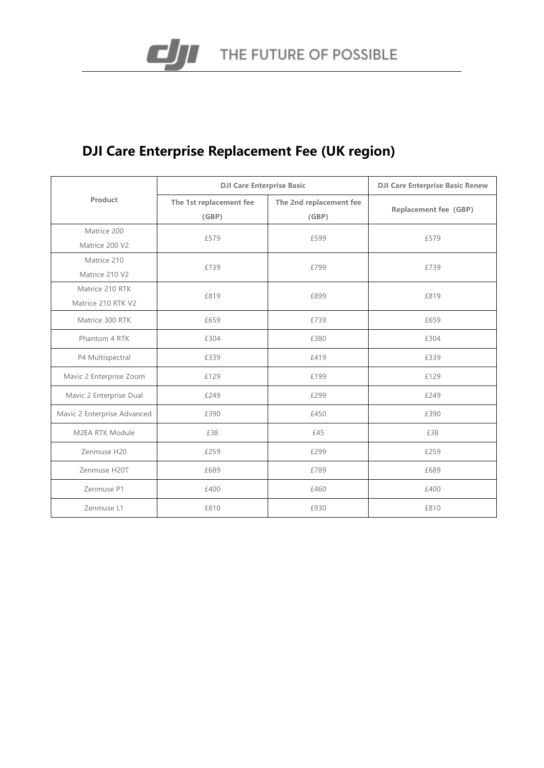# **DJI Care Enterprise Replacement Fee (UK region)**

|                                       | <b>DJI Care Enterprise Basic</b> |                                  | <b>DJI Care Enterprise Basic Renew</b> |
|---------------------------------------|----------------------------------|----------------------------------|----------------------------------------|
| Product                               | The 1st replacement fee<br>(GBP) | The 2nd replacement fee<br>(GBP) | Replacement fee (GBP)                  |
| Matrice 200<br>Matrice 200 V2         | £579                             | £599                             | £579                                   |
| Matrice 210<br>Matrice 210 V2         | £739                             | £799                             | £739                                   |
| Matrice 210 RTK<br>Matrice 210 RTK V2 | £819                             | £899                             | £819                                   |
| Matrice 300 RTK                       | £659                             | £739                             | £659                                   |
| Phantom 4 RTK                         | £304                             | £380                             | £304                                   |
| P4 Multispectral                      | £339                             | £419                             | £339                                   |
| Mavic 2 Enterprise Zoom               | £129                             | £199                             | £129                                   |
| Mavic 2 Enterprise Dual               | £249                             | £299                             | £249                                   |
| Mavic 2 Enterprise Advanced           | £390                             | £450                             | £390                                   |
| M2EA RTK Module                       | £38                              | £45                              | £38                                    |
| Zenmuse H20                           | £259                             | £299                             | £259                                   |
| Zenmuse H20T                          | £689                             | £789                             | £689                                   |
| Zenmuse P1                            | £400                             | £460                             | £400                                   |
| Zenmuse L1                            | £810                             | £930                             | £810                                   |